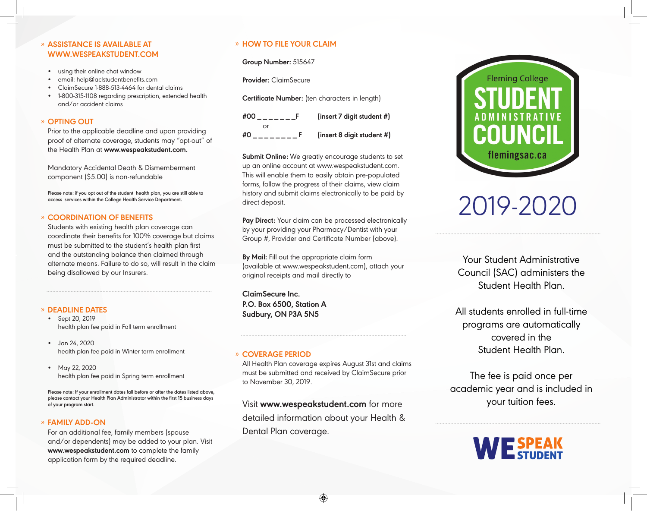#### » **ASSISTANCE IS AVAILABLE AT WWW.WESPEAKSTUDENT.COM**

- using their online chat window
- email: help@aclstudentbenefits.com
- ClaimSecure 1-888-513-4464 for dental claims
- 1-800-315-1108 regarding prescription, extended health and/or accident claims

#### » **OPTING OUT**

Prior to the applicable deadline and upon providing proof of alternate coverage, students may "opt-out" of the Health Plan at **www.wespeakstudent.com.**

Mandatory Accidental Death & Dismemberment component (\$5.00) is non-refundable

**Please note: if you opt out of the student health plan, you are still able to access services within the College Health Service Department.**

#### » **COORDINATION OF BENEFITS**

Students with existing health plan coverage can coordinate their benefits for 100% coverage but claims must be submitted to the student's health plan first and the outstanding balance then claimed through alternate means. Failure to do so, will result in the claim being disallowed by our Insurers.

#### » **DEADLINE DATES**

- Sept 20, 2019 health plan fee paid in Fall term enrollment
- Jan 24, 2020 health plan fee paid in Winter term enrollment
- May 22, 2020 health plan fee paid in Spring term enrollment

**Please note: If your enrollment dates fall before or after the dates listed above, please contact your Health Plan Administrator within the first 15 business days of your program start.**

#### » **FAMILY ADD-ON**

For an additional fee, family members (spouse and/or dependents) may be added to your plan. Visit **www.wespeakstudent.com** to complete the family application form by the required deadline.

#### » **HOW TO FILE YOUR CLAIM**

**Group Number:** 515647

**Provider:** ClaimSecure

**Certificate Number:** (ten characters in length)

| #00 | (insert 7 digit student #) |
|-----|----------------------------|
|     |                            |
| #0  | (insert 8 digit student #) |

**Submit Online:** We greatly encourage students to set up an online account at www.wespeakstudent.com. This will enable them to easily obtain pre-populated forms, follow the progress of their claims, view claim history and submit claims electronically to be paid by direct deposit.

Pay Direct: Your claim can be processed electronically by your providing your Pharmacy/Dentist with your Group #, Provider and Certificate Number (above).

**By Mail:** Fill out the appropriate claim form (available at www.wespeakstudent.com), attach your original receipts and mail directly to

**ClaimSecure Inc. P.O. Box 6500, Station A Sudbury, ON P3A 5N5**

#### » **COVERAGE PERIOD**

All Health Plan coverage expires August 31st and claims must be submitted and received by ClaimSecure prior to November 30, 2019.

Visit **www.wespeakstudent.com** for more detailed information about your Health & Dental Plan coverage.



# 2019-2020

Your Student Administrative Council (SAC) administers the Student Health Plan.

All students enrolled in full-time programs are automatically covered in the Student Health Plan.

The fee is paid once per academic year and is included in your tuition fees.